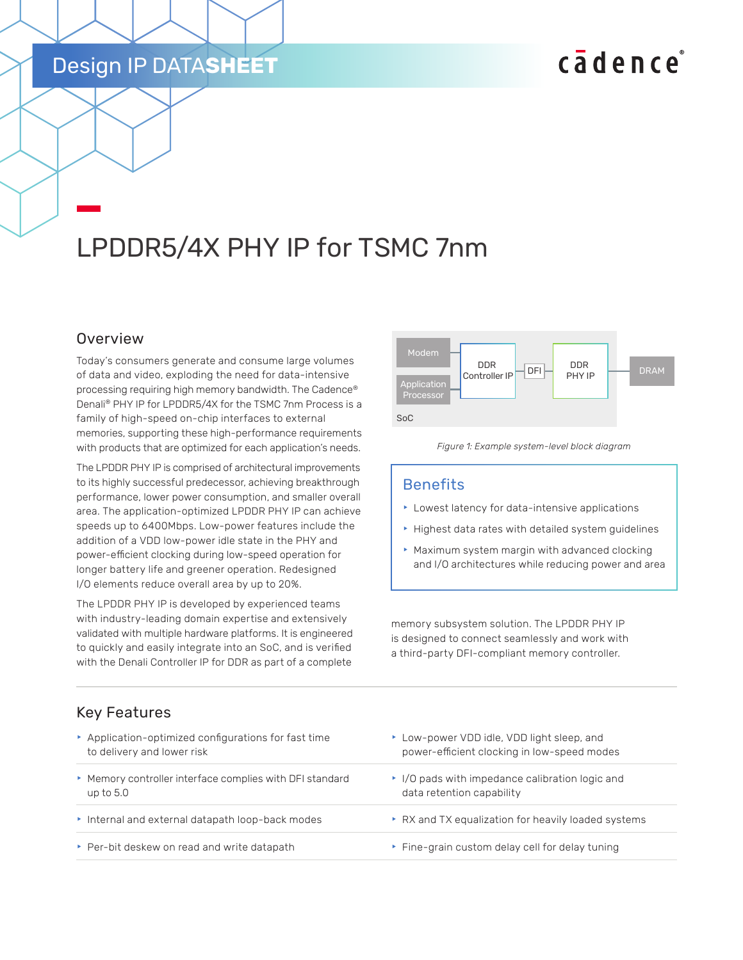### Design IP DATA**SHEET**

# cadence

## LPDDR5/4X PHY IP for TSMC 7nm

#### **Overview**

Today's consumers generate and consume large volumes of data and video, exploding the need for data-intensive processing requiring high memory bandwidth. The Cadence® Denali® PHY IP for LPDDR5/4X for the TSMC 7nm Process is a family of high-speed on-chip interfaces to external memories, supporting these high-performance requirements with products that are optimized for each application's needs.

The LPDDR PHY IP is comprised of architectural improvements to its highly successful predecessor, achieving breakthrough performance, lower power consumption, and smaller overall area. The application-optimized LPDDR PHY IP can achieve speeds up to 6400Mbps. Low-power features include the addition of a VDD low-power idle state in the PHY and power-efficient clocking during low-speed operation for longer battery life and greener operation. Redesigned I/O elements reduce overall area by up to 20%.

The LPDDR PHY IP is developed by experienced teams with industry-leading domain expertise and extensively validated with multiple hardware platforms. It is engineered to quickly and easily integrate into an SoC, and is verified with the Denali Controller IP for DDR as part of a complete



*Figure 1: Example system-level block diagram*

#### **Benefits**

- $\blacktriangleright$  Lowest latency for data-intensive applications
- $\blacktriangleright$  Highest data rates with detailed system guidelines
- $\blacktriangleright$  Maximum system margin with advanced clocking and I/O architectures while reducing power and area

memory subsystem solution. The LPDDR PHY IP is designed to connect seamlessly and work with a third-party DFI-compliant memory controller.

#### Key Features

| Application-optimized configurations for fast time       | ► Low-power VDD idle, VDD light sleep, and            |
|----------------------------------------------------------|-------------------------------------------------------|
| to delivery and lower risk                               | power-efficient clocking in low-speed modes           |
| ▶ Memory controller interface complies with DFI standard | $\cdot$ I/O pads with impedance calibration logic and |
| up to $5.0$                                              | data retention capability                             |
| Internal and external datapath loop-back modes           | ▶ RX and TX equalization for heavily loaded systems   |
| ▶ Per-bit deskew on read and write datapath              | ▶ Fine-grain custom delay cell for delay tuning       |